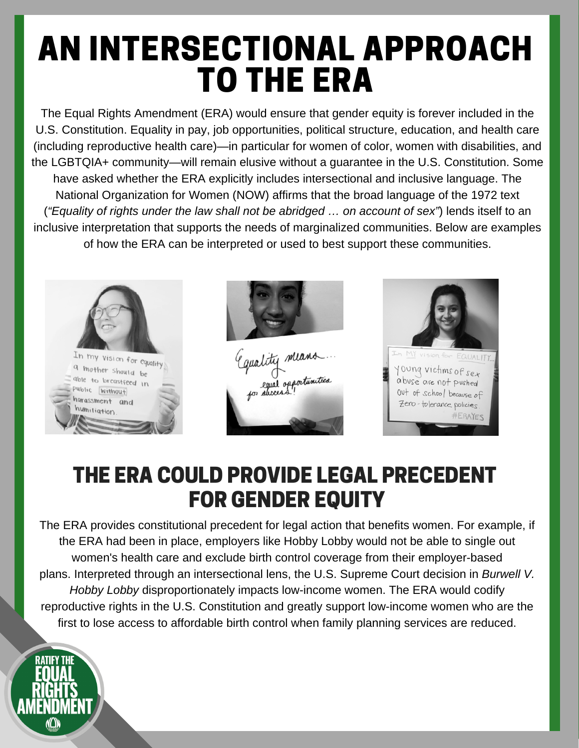## AN INTERSECTIONAL APPROACH TO THE ERA

The Equal Rights Amendment (ERA) would ensure that gender equity is forever included in the U.S. Constitution. Equality in pay, job opportunities, political structure, education, and health care (including reproductive health care)—in particular for women of color, women with disabilities, and the LGBTQIA+ community—will remain elusive without a guarantee in the U.S. Constitution. Some have asked whether the ERA explicitly includes intersectional and inclusive language. The National Organization for Women (NOW) affirms that the broad language of the 1972 text (*"Equality of rights under the law shall not be abridged … on account of sex"*) lends itself to an inclusive interpretation that supports the needs of marginalized communities. Below are examples of how the ERA can be interpreted or used to best support these communities.







## THE ERA COULD PROVIDE LEGAL PRECEDENT FOR GENDER EQUITY

The ERA provides constitutional precedent for legal action that benefits women. For example, if the ERA had been in place, employers like Hobby Lobby would not be able to single out women's health care and exclude birth control coverage from their employer-based plans. Interpreted through an intersectional lens, the U.S. Supreme Court decision in *Burwell V. Hobby Lobby* disproportionately impacts low-income women. The ERA would codify reproductive rights in the U.S. Constitution and greatly support low-income women who are the first to lose access to affordable birth control when family planning services are reduced.